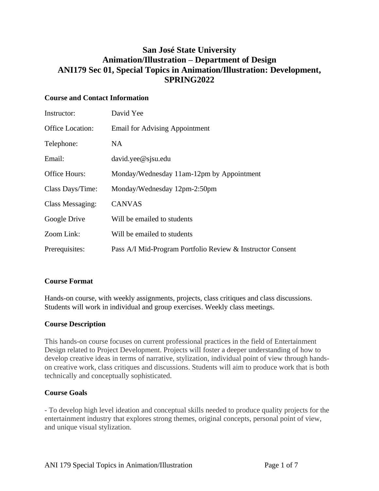# **San José State University Animation/Illustration – Department of Design ANI179 Sec 01, Special Topics in Animation/Illustration: Development, SPRING2022**

# **Course and Contact Information**

| Instructor:             | David Yee                                                  |  |
|-------------------------|------------------------------------------------------------|--|
| Office Location:        | <b>Email for Advising Appointment</b>                      |  |
| Telephone:              | NA.                                                        |  |
| Email:                  | $david. yee@$ s is $u.edu$                                 |  |
| <b>Office Hours:</b>    | Monday/Wednesday 11am-12pm by Appointment                  |  |
| Class Days/Time:        | Monday/Wednesday 12pm-2:50pm                               |  |
| <b>Class Messaging:</b> | <b>CANVAS</b>                                              |  |
| Google Drive            | Will be emailed to students                                |  |
| Zoom Link:              | Will be emailed to students                                |  |
| Prerequisites:          | Pass A/I Mid-Program Portfolio Review & Instructor Consent |  |

# **Course Format**

Hands-on course, with weekly assignments, projects, class critiques and class discussions. Students will work in individual and group exercises. Weekly class meetings.

# **Course Description**

This hands-on course focuses on current professional practices in the field of Entertainment Design related to Project Development. Projects will foster a deeper understanding of how to develop creative ideas in terms of narrative, stylization, individual point of view through handson creative work, class critiques and discussions. Students will aim to produce work that is both technically and conceptually sophisticated.

# **Course Goals**

- To develop high level ideation and conceptual skills needed to produce quality projects for the entertainment industry that explores strong themes, original concepts, personal point of view, and unique visual stylization.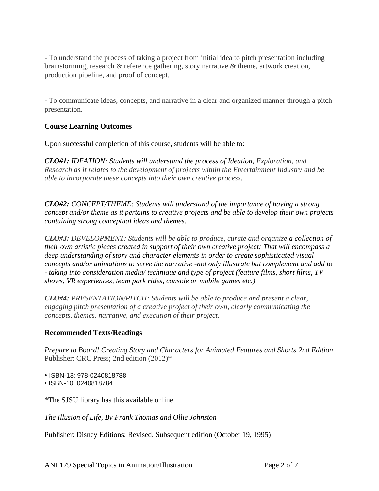- To understand the process of taking a project from initial idea to pitch presentation including brainstorming, research & reference gathering, story narrative & theme, artwork creation, production pipeline, and proof of concept.

- To communicate ideas, concepts, and narrative in a clear and organized manner through a pitch presentation.

# **Course Learning Outcomes**

Upon successful completion of this course, students will be able to:

*CLO#1: IDEATION: Students will understand the process of Ideation, Exploration, and Research as it relates to the development of projects within the Entertainment Industry and be able to incorporate these concepts into their own creative process.*

*CLO#2: CONCEPT/THEME: Students will understand of the importance of having a strong concept and/or theme as it pertains to creative projects and be able to develop their own projects containing strong conceptual ideas and themes.*

*CLO#3: DEVELOPMENT: Students will be able to produce, curate and organize a collection of their own artistic pieces created in support of their own creative project; That will encompass a deep understanding of story and character elements in order to create sophisticated visual concepts and/or animations to serve the narrative -not only illustrate but complement and add to - taking into consideration media/ technique and type of project (feature films, short films, TV shows, VR experiences, team park rides, console or mobile games etc.)* 

*CLO#4: PRESENTATION/PITCH: Students will be able to produce and present a clear, engaging pitch presentation of a creative project of their own, clearly communicating the concepts, themes, narrative, and execution of their project.*

# **Recommended Texts/Readings**

*Prepare to Board! Creating Story and Characters for Animated Features and Shorts 2nd Edition* Publisher: CRC Press; 2nd edition (2012)\*

• ISBN-13: 978-0240818788

• ISBN-10: 0240818784

\*The SJSU library has this available online.

*The Illusion of Life, By Frank Thomas and Ollie Johnston* 

Publisher: Disney Editions; Revised, Subsequent edition (October 19, 1995)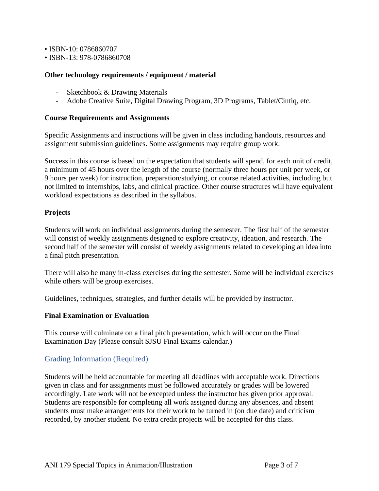• ISBN-10: 0786860707

• ISBN-13: 978-0786860708

#### **Other technology requirements / equipment / material**

- Sketchbook & Drawing Materials
- Adobe Creative Suite, Digital Drawing Program, 3D Programs, Tablet/Cintiq, etc.

#### **Course Requirements and Assignments**

Specific Assignments and instructions will be given in class including handouts, resources and assignment submission guidelines. Some assignments may require group work.

Success in this course is based on the expectation that students will spend, for each unit of credit, a minimum of 45 hours over the length of the course (normally three hours per unit per week, or 9 hours per week) for instruction, preparation/studying, or course related activities, including but not limited to internships, labs, and clinical practice. Other course structures will have equivalent workload expectations as described in the syllabus.

#### **Projects**

Students will work on individual assignments during the semester. The first half of the semester will consist of weekly assignments designed to explore creativity, ideation, and research. The second half of the semester will consist of weekly assignments related to developing an idea into a final pitch presentation.

There will also be many in-class exercises during the semester. Some will be individual exercises while others will be group exercises.

Guidelines, techniques, strategies, and further details will be provided by instructor.

#### **Final Examination or Evaluation**

This course will culminate on a final pitch presentation, which will occur on the Final Examination Day (Please consult SJSU Final Exams calendar.)

# Grading Information (Required)

Students will be held accountable for meeting all deadlines with acceptable work. Directions given in class and for assignments must be followed accurately or grades will be lowered accordingly. Late work will not be excepted unless the instructor has given prior approval. Students are responsible for completing all work assigned during any absences, and absent students must make arrangements for their work to be turned in (on due date) and criticism recorded, by another student. No extra credit projects will be accepted for this class.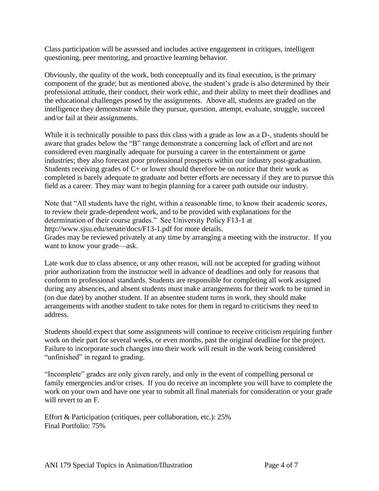Class participation will be assessed and includes active engagement in critiques, intelligent questioning, peer mentoring, and proactive learning behavior.

Obviously, the quality of the work, both conceptually and its final execution, is the primary component of the grade; but as mentioned above, the student's grade is also determined by their professional attitude, their conduct, their work ethic, and their ability to meet their deadlines and the educational challenges posed by the assignments. Above all, students are graded on the intelligence they demonstrate while they pursue, question, attempt, evaluate, struggle, succeed and/or fail at their assignments.

While it is technically possible to pass this class with a grade as low as a D-, students should be aware that grades below the "B" range demonstrate a concerning lack of effort and are not considered even marginally adequate for pursuing a career in the entertainment or game industries; they also forecast poor professional prospects within our industry post-graduation. Students receiving grades of C+ or lower should therefore be on notice that their work as completed is barely adequate to graduate and better efforts are necessary if they are to pursue this field as a career. They may want to begin planning for a career path outside our industry.

Note that "All students have the right, within a reasonable time, to know their academic scores, to review their grade-dependent work, and to be provided with explanations for the determination of their course grades." See University Policy F13-1 at http://www.sjsu.edu/senate/docs/F13-1.pdf for more details. Grades may be reviewed privately at any time by arranging a meeting with the instructor. If you

want to know your grade—ask.

Late work due to class absence, or any other reason, will not be accepted for grading without prior authorization from the instructor well in advance of deadlines and only for reasons that conform to professional standards. Students are responsible for completing all work assigned during any absences, and absent students must make arrangements for their work to be turned in (on due date) by another student. If an absentee student turns in work, they should make arrangements with another student to take notes for them in regard to criticisms they need to address.

Students should expect that some assignments will continue to receive criticism requiring further work on their part for several weeks, or even months, past the original deadline for the project. Failure to incorporate such changes into their work will result in the work being considered "unfinished" in regard to grading.

"Incomplete" grades are only given rarely, and only in the event of compelling personal or family emergencies and/or crises. If you do receive an incomplete you will have to complete the work on your own and have one year to submit all final materials for consideration or your grade will revert to an F.

Effort & Participation (critiques, peer collaboration, etc.): 25% Final Portfolio: 75%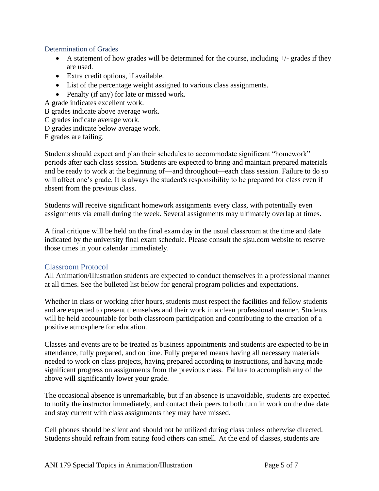### Determination of Grades

- A statement of how grades will be determined for the course, including  $+/-$  grades if they are used.
- Extra credit options, if available.
- List of the percentage weight assigned to various class assignments.
- Penalty (if any) for late or missed work.

A grade indicates excellent work.

- B grades indicate above average work.
- C grades indicate average work.
- D grades indicate below average work.

F grades are failing.

Students should expect and plan their schedules to accommodate significant "homework" periods after each class session. Students are expected to bring and maintain prepared materials and be ready to work at the beginning of—and throughout—each class session. Failure to do so will affect one's grade. It is always the student's responsibility to be prepared for class even if absent from the previous class.

Students will receive significant homework assignments every class, with potentially even assignments via email during the week. Several assignments may ultimately overlap at times.

A final critique will be held on the final exam day in the usual classroom at the time and date indicated by the university final exam schedule. Please consult the sjsu.com website to reserve those times in your calendar immediately.

# Classroom Protocol

All Animation/Illustration students are expected to conduct themselves in a professional manner at all times. See the bulleted list below for general program policies and expectations.

Whether in class or working after hours, students must respect the facilities and fellow students and are expected to present themselves and their work in a clean professional manner. Students will be held accountable for both classroom participation and contributing to the creation of a positive atmosphere for education.

Classes and events are to be treated as business appointments and students are expected to be in attendance, fully prepared, and on time. Fully prepared means having all necessary materials needed to work on class projects, having prepared according to instructions, and having made significant progress on assignments from the previous class. Failure to accomplish any of the above will significantly lower your grade.

The occasional absence is unremarkable, but if an absence is unavoidable, students are expected to notify the instructor immediately, and contact their peers to both turn in work on the due date and stay current with class assignments they may have missed.

Cell phones should be silent and should not be utilized during class unless otherwise directed. Students should refrain from eating food others can smell. At the end of classes, students are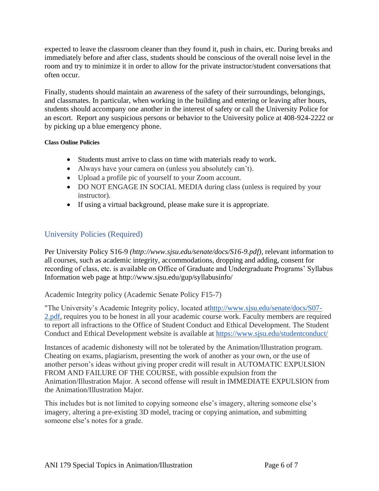expected to leave the classroom cleaner than they found it, push in chairs, etc. During breaks and immediately before and after class, students should be conscious of the overall noise level in the room and try to minimize it in order to allow for the private instructor/student conversations that often occur.

Finally, students should maintain an awareness of the safety of their surroundings, belongings, and classmates. In particular, when working in the building and entering or leaving after hours, students should accompany one another in the interest of safety or call the University Police for an escort. Report any suspicious persons or behavior to the University police at 408-924-2222 or by picking up a blue emergency phone.

#### **Class Online Policies**

- Students must arrive to class on time with materials ready to work.
- Always have your camera on (unless you absolutely can't).
- Upload a profile pic of yourself to your Zoom account.
- DO NOT ENGAGE IN SOCIAL MEDIA during class (unless is required by your instructor).
- If using a virtual background, please make sure it is appropriate.

# University Policies (Required)

Per University Policy S16-9 *(http://www.sjsu.edu/senate/docs/S16-9.pdf)*, relevant information to all courses, such as academic integrity, accommodations, dropping and adding, consent for recording of class, etc. is available on Office of Graduate and Undergraduate Programs' Syllabus Information web page at http://www.sjsu.edu/gup/syllabusinfo/

Academic Integrity policy (Academic Senate Policy F15-7)

"The University's Academic Integrity policy, located a[thttp://www.sjsu.edu/senate/docs/S07-](http://www.sjsu.edu/senate/docs/S07-2.pdf) [2.pdf,](http://www.sjsu.edu/senate/docs/S07-2.pdf) requires you to be honest in all your academic course work. Faculty members are required to report all infractions to the Office of Student Conduct and Ethical Development. The Student Conduct and Ethical Development website is available at <https://www.sjsu.edu/studentconduct/>

Instances of academic dishonesty will not be tolerated by the Animation/Illustration program. Cheating on exams, plagiarism, presenting the work of another as your own, or the use of another person's ideas without giving proper credit will result in AUTOMATIC EXPULSION FROM AND FAILURE OF THE COURSE, with possible expulsion from the Animation/Illustration Major. A second offense will result in IMMEDIATE EXPULSION from the Animation/Illustration Major.

This includes but is not limited to copying someone else's imagery, altering someone else's imagery, altering a pre-existing 3D model, tracing or copying animation, and submitting someone else's notes for a grade.